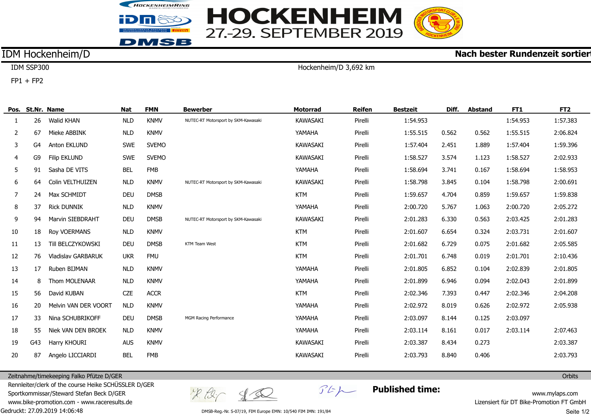



## **Nach bester Rundenzeit sortier**

# IDM Hockenheim/D

IDM SSP300  $FP1 + FP2$ 

Hockenheim/D 3,692 km

|                |     | Pos. St.Nr. Name        | Nat        | <b>FMN</b>   | <b>Bewerber</b>                     | <b>Motorrad</b> | <b>Reifen</b> | <b>Bestzeit</b> | Diff. | <b>Abstand</b> | FT1      | FT <sub>2</sub> |
|----------------|-----|-------------------------|------------|--------------|-------------------------------------|-----------------|---------------|-----------------|-------|----------------|----------|-----------------|
| 1              | 26  | Walid KHAN              | <b>NLD</b> | <b>KNMV</b>  | NUTEC-RT Motorsport by SKM-Kawasaki | <b>KAWASAKI</b> | Pirelli       | 1:54.953        |       |                | 1:54.953 | 1:57.383        |
| 2              | 67  | Mieke ABBINK            | <b>NLD</b> | <b>KNMV</b>  |                                     | YAMAHA          | Pirelli       | 1:55.515        | 0.562 | 0.562          | 1:55.515 | 2:06.824        |
| 3              | G4  | <b>Anton EKLUND</b>     | <b>SWE</b> | <b>SVEMO</b> |                                     | <b>KAWASAKI</b> | Pirelli       | 1:57.404        | 2.451 | 1.889          | 1:57.404 | 1:59.396        |
| $\overline{4}$ | G9  | <b>Filip EKLUND</b>     | <b>SWE</b> | <b>SVEMO</b> |                                     | <b>KAWASAKI</b> | Pirelli       | 1:58.527        | 3.574 | 1.123          | 1:58.527 | 2:02.933        |
| 5              | 91  | Sasha DE VITS           | <b>BEL</b> | <b>FMB</b>   |                                     | YAMAHA          | Pirelli       | 1:58.694        | 3.741 | 0.167          | 1:58.694 | 1:58.953        |
| 6              | 64  | Colin VELTHUIZEN        | <b>NLD</b> | <b>KNMV</b>  | NUTEC-RT Motorsport by SKM-Kawasaki | <b>KAWASAKI</b> | Pirelli       | 1:58.798        | 3.845 | 0.104          | 1:58.798 | 2:00.691        |
| 7              | 24  | Max SCHMIDT             | <b>DEU</b> | <b>DMSB</b>  |                                     | KTM             | Pirelli       | 1:59.657        | 4.704 | 0.859          | 1:59.657 | 1:59.838        |
| 8              | 37  | <b>Rick DUNNIK</b>      | <b>NLD</b> | <b>KNMV</b>  |                                     | YAMAHA          | Pirelli       | 2:00.720        | 5.767 | 1.063          | 2:00.720 | 2:05.272        |
| 9              | 94  | <b>Marvin SIEBDRAHT</b> | DEU        | <b>DMSB</b>  | NUTEC-RT Motorsport by SKM-Kawasaki | <b>KAWASAKI</b> | Pirelli       | 2:01.283        | 6.330 | 0.563          | 2:03.425 | 2:01.283        |
| $10\,$         | 18  | Roy VOERMANS            | <b>NLD</b> | <b>KNMV</b>  |                                     | <b>KTM</b>      | Pirelli       | 2:01.607        | 6.654 | 0.324          | 2:03.731 | 2:01.607        |
| 11             | 13  | Till BELCZYKOWSKI       | DEU        | <b>DMSB</b>  | KTM Team West                       | <b>KTM</b>      | Pirelli       | 2:01.682        | 6.729 | 0.075          | 2:01.682 | 2:05.585        |
| 12             | 76  | Vladislav GARBARUK      | <b>UKR</b> | <b>FMU</b>   |                                     | <b>KTM</b>      | Pirelli       | 2:01.701        | 6.748 | 0.019          | 2:01.701 | 2:10.436        |
| 13             | 17  | Ruben BIJMAN            | <b>NLD</b> | <b>KNMV</b>  |                                     | YAMAHA          | Pirelli       | 2:01.805        | 6.852 | 0.104          | 2:02.839 | 2:01.805        |
| 14             | 8   | Thom MOLENAAR           | <b>NLD</b> | <b>KNMV</b>  |                                     | YAMAHA          | Pirelli       | 2:01.899        | 6.946 | 0.094          | 2:02.043 | 2:01.899        |
| 15             | 56  | David KUBAN             | <b>CZE</b> | <b>ACCR</b>  |                                     | <b>KTM</b>      | Pirelli       | 2:02.346        | 7.393 | 0.447          | 2:02.346 | 2:04.208        |
| 16             | 20  | Melvin VAN DER VOORT    | <b>NLD</b> | <b>KNMV</b>  |                                     | YAMAHA          | Pirelli       | 2:02.972        | 8.019 | 0.626          | 2:02.972 | 2:05.938        |
| 17             | 33  | Nina SCHUBRIKOFF        | DEU        | <b>DMSB</b>  | MGM Racing Performance              | YAMAHA          | Pirelli       | 2:03.097        | 8.144 | 0.125          | 2:03.097 |                 |
| 18             | 55  | Niek VAN DEN BROEK      | <b>NLD</b> | <b>KNMV</b>  |                                     | YAMAHA          | Pirelli       | 2:03.114        | 8.161 | 0.017          | 2:03.114 | 2:07.463        |
| 19             | G43 | Harry KHOURI            | <b>AUS</b> | <b>KNMV</b>  |                                     | <b>KAWASAKI</b> | Pirelli       | 2:03.387        | 8.434 | 0.273          |          | 2:03.387        |
| 20             | 87  | Angelo LICCIARDI        | <b>BEL</b> | <b>FMB</b>   |                                     | <b>KAWASAKI</b> | Pirelli       | 2:03.793        | 8.840 | 0.406          |          | 2:03.793        |

Zeitnahme/timekeeping Falko Pfütze D/GER

Gedruckt: 27.09.2019 14:06:48 Rennleiter/clerk of the course Heike SCHÜSSLER D/GER Sportkommissar/Steward Stefan Beck D/GER www.bike-promotion.com - www.raceresults.de

 $x \approx c$  for

 $\mathcal{F}E\mathcal{H}$ 

**Published time:**

www.mylaps.com Lizensiert für DT Bike-Promotion FT GmbH Seite 1/2

**Orbits** 

DMSB-Reg.-Nr. S-07/19, FIM Europe EMN: 10/540 FIM IMN: 191/84